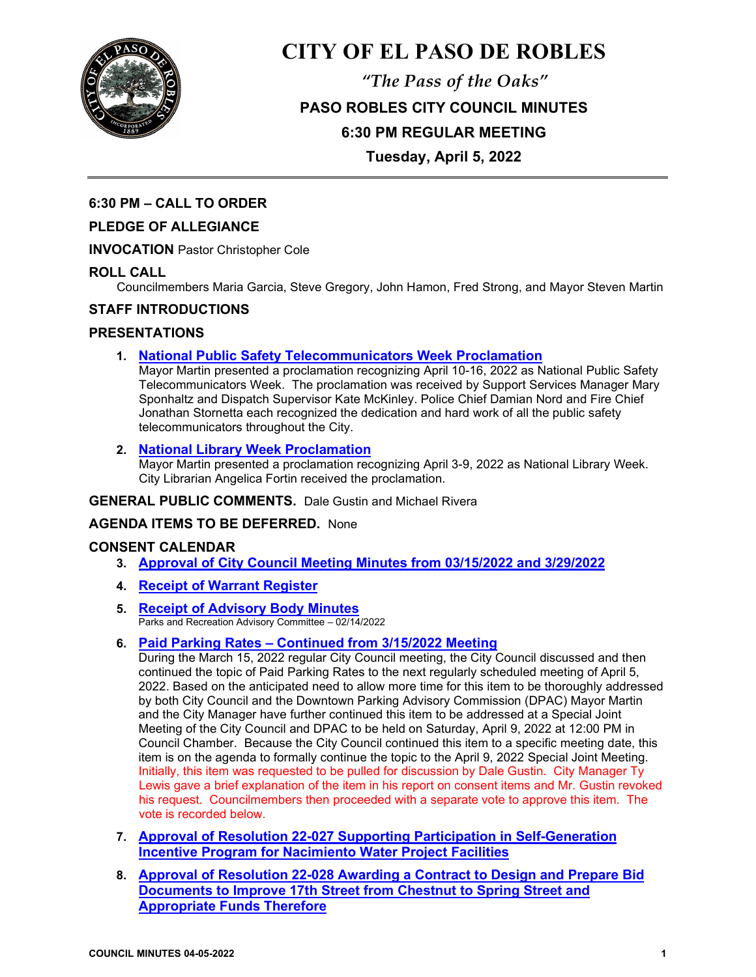

# **CITY OF EL PASO DE ROBLES**

*"The Pass of the Oaks"* **PASO ROBLES CITY COUNCIL MINUTES 6:30 PM REGULAR MEETING Tuesday, April 5, 2022**

# **6:30 PM – CALL TO ORDER**

# **PLEDGE OF ALLEGIANCE**

**INVOCATION** Pastor Christopher Cole

## **ROLL CALL**

Councilmembers Maria Garcia, Steve Gregory, John Hamon, Fred Strong, and Mayor Steven Martin

## **STAFF INTRODUCTIONS**

## **PRESENTATIONS**

**1. [National Public Safety Telecommunicators Week Proclamation](https://www.prcity.com/DocumentCenter/View/33486/April-5-2022-City-Council-Agenda-Item-01-PDF)** 

Mayor Martin presented a proclamation recognizing April 10-16, 2022 as National Public Safety Telecommunicators Week. The proclamation was received by Support Services Manager Mary Sponhaltz and Dispatch Supervisor Kate McKinley. Police Chief Damian Nord and Fire Chief Jonathan Stornetta each recognized the dedication and hard work of all the public safety telecommunicators throughout the City.

# **2. [National Library Week Proclamation](https://www.prcity.com/DocumentCenter/View/33487/April-5-2022-City-Council-Agenda-Item-02-PDF)**

Mayor Martin presented a proclamation recognizing April 3-9, 2022 as National Library Week. City Librarian Angelica Fortin received the proclamation.

#### **GENERAL PUBLIC COMMENTS.** Dale Gustin and Michael Rivera

# **AGENDA ITEMS TO BE DEFERRED.** None

## **CONSENT CALENDAR**

- **3. [Approval of City Council Meeting Minutes from 03/15/2022](https://www.prcity.com/DocumentCenter/View/33488/April-5-2022-City-Council-Agenda-Item-03-PDF) and 3/29/2022**
- **4. Receipt [of Warrant Register](https://www.prcity.com/DocumentCenter/View/33489/April-5-2022-City-Council-Agenda-Item-04-PDF)**
- **5. [Receipt of Advisory Body Minutes](https://www.prcity.com/DocumentCenter/View/33490/April-5-2022-City-Council-Agenda-Item-05-PDF)** Parks and Recreation Advisory Committee – 02/14/2022

## **6. [Paid Parking Rates – Continued from 3/15/2022 Meeting](https://www.prcity.com/DocumentCenter/View/33476/April-5-2022-City-Council-Agenda-Item-06-PDF)**

During the March 15, 2022 regular City Council meeting, the City Council discussed and then continued the topic of Paid Parking Rates to the next regularly scheduled meeting of April 5, 2022. Based on the anticipated need to allow more time for this item to be thoroughly addressed by both City Council and the Downtown Parking Advisory Commission (DPAC) Mayor Martin and the City Manager have further continued this item to be addressed at a Special Joint Meeting of the City Council and DPAC to be held on Saturday, April 9, 2022 at 12:00 PM in Council Chamber. Because the City Council continued this item to a specific meeting date, this item is on the agenda to formally continue the topic to the April 9, 2022 Special Joint Meeting. Initially, this item was requested to be pulled for discussion by Dale Gustin. City Manager Ty Lewis gave a brief explanation of the item in his report on consent items and Mr. Gustin revoked his request. Councilmembers then proceeded with a separate vote to approve this item. The vote is recorded below.

- **7. Approval of Resolution 22-027 [Supporting Participation in Self-Generation](https://www.prcity.com/DocumentCenter/View/33477/April-5-2022-City-Council-Agenda-Item-07-PDF)  [Incentive Program for Nacimiento Water Project Facilities](https://www.prcity.com/DocumentCenter/View/33477/April-5-2022-City-Council-Agenda-Item-07-PDF)**
- **8. Approval of Resolution 22-028 Awarding [a Contract to Design and Prepare Bid](https://www.prcity.com/DocumentCenter/View/33478/April-5-2022-City-Council-Agenda-Item-08-PDF)  [Documents to Improve 17th Street from Chestnut to Spring Street and](https://www.prcity.com/DocumentCenter/View/33478/April-5-2022-City-Council-Agenda-Item-08-PDF)  [Appropriate Funds Therefore](https://www.prcity.com/DocumentCenter/View/33478/April-5-2022-City-Council-Agenda-Item-08-PDF)**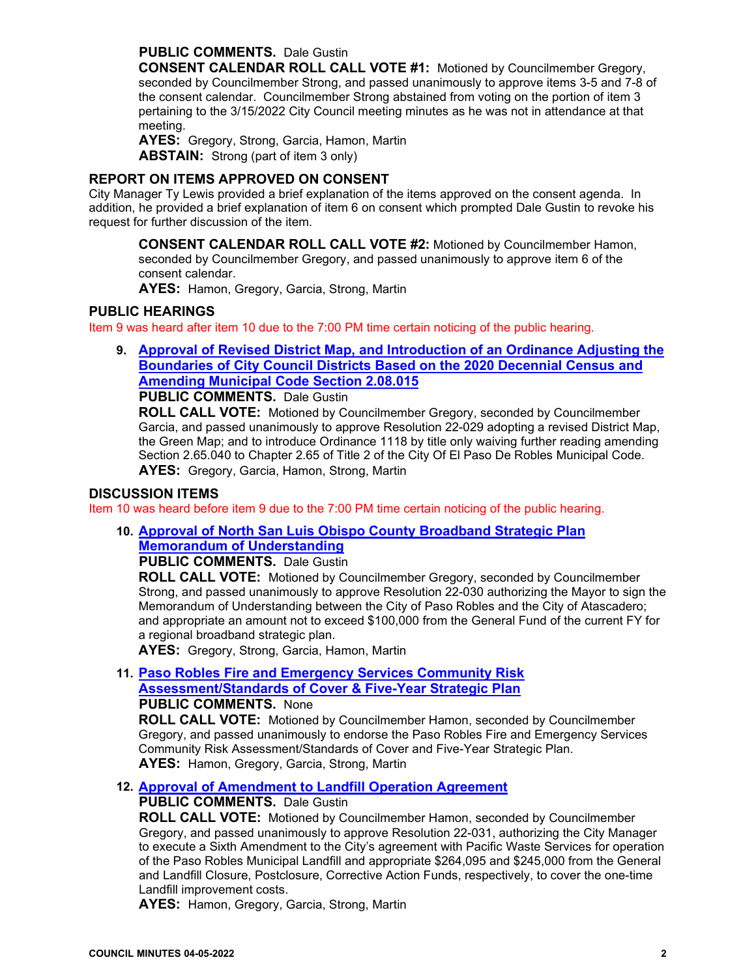#### **PUBLIC COMMENTS.** Dale Gustin

**CONSENT CALENDAR ROLL CALL VOTE #1:** Motioned by Councilmember Gregory, seconded by Councilmember Strong, and passed unanimously to approve items 3-5 and 7-8 of the consent calendar. Councilmember Strong abstained from voting on the portion of item 3 pertaining to the 3/15/2022 City Council meeting minutes as he was not in attendance at that meeting.

**AYES:** Gregory, Strong, Garcia, Hamon, Martin **ABSTAIN:** Strong (part of item 3 only)

#### **REPORT ON ITEMS APPROVED ON CONSENT**

City Manager Ty Lewis provided a brief explanation of the items approved on the consent agenda. In addition, he provided a brief explanation of item 6 on consent which prompted Dale Gustin to revoke his request for further discussion of the item.

**CONSENT CALENDAR ROLL CALL VOTE #2:** Motioned by Councilmember Hamon, seconded by Councilmember Gregory, and passed unanimously to approve item 6 of the consent calendar.

**AYES:** Hamon, Gregory, Garcia, Strong, Martin

#### **PUBLIC HEARINGS**

Item 9 was heard after item 10 due to the 7:00 PM time certain noticing of the public hearing.

**9. [Approval of Revised District Map, and Introduction of an Ordinance Adjusting the](https://www.prcity.com/DocumentCenter/View/33479/April-5-2022-City-Council-Agenda-Item-09-PDF)  [Boundaries of City Council Districts Based on the 2020 Decennial Census and](https://www.prcity.com/DocumentCenter/View/33479/April-5-2022-City-Council-Agenda-Item-09-PDF)  [Amending Municipal Code Section 2.08.015](https://www.prcity.com/DocumentCenter/View/33479/April-5-2022-City-Council-Agenda-Item-09-PDF)**

# **PUBLIC COMMENTS.** Dale Gustin

**ROLL CALL VOTE:** Motioned by Councilmember Gregory, seconded by Councilmember Garcia, and passed unanimously to approve Resolution 22-029 adopting a revised District Map, the Green Map; and to introduce Ordinance 1118 by title only waiving further reading amending Section 2.65.040 to Chapter 2.65 of Title 2 of the City Of El Paso De Robles Municipal Code. **AYES:** Gregory, Garcia, Hamon, Strong, Martin

#### **DISCUSSION ITEMS**

Item 10 was heard before item 9 due to the 7:00 PM time certain noticing of the public hearing.

#### **10. [Approval of North San Luis Obispo County Broadband Strategic Plan](https://www.prcity.com/DocumentCenter/View/33480/April-5-2022-City-Council-Agenda-Item-10-PDF)  [Memorandum of Understanding](https://www.prcity.com/DocumentCenter/View/33480/April-5-2022-City-Council-Agenda-Item-10-PDF)**

**PUBLIC COMMENTS.** Dale Gustin

**ROLL CALL VOTE:** Motioned by Councilmember Gregory, seconded by Councilmember Strong, and passed unanimously to approve Resolution 22-030 authorizing the Mayor to sign the Memorandum of Understanding between the City of Paso Robles and the City of Atascadero; and appropriate an amount not to exceed \$100,000 from the General Fund of the current FY for a regional broadband strategic plan.

**AYES:** Gregory, Strong, Garcia, Hamon, Martin

**11. [Paso Robles Fire and Emergency Services Community Risk](https://www.prcity.com/DocumentCenter/View/33481/April-5-2022-City-Council-Agenda-Item-11-PDF)  [Assessment/Standards of Cover & Five-Year Strategic Plan](https://www.prcity.com/DocumentCenter/View/33481/April-5-2022-City-Council-Agenda-Item-11-PDF) PUBLIC COMMENTS.** None

**ROLL CALL VOTE:** Motioned by Councilmember Hamon, seconded by Councilmember Gregory, and passed unanimously to endorse the Paso Robles Fire and Emergency Services Community Risk Assessment/Standards of Cover and Five-Year Strategic Plan. **AYES:** Hamon, Gregory, Garcia, Strong, Martin

## **12. [Approval of Amendment to Landfill Operation Agreement](https://www.prcity.com/DocumentCenter/View/33482/April-5-2022-City-Council-Agenda-Item-12-PDF)**

## **PUBLIC COMMENTS.** Dale Gustin

**ROLL CALL VOTE:** Motioned by Councilmember Hamon, seconded by Councilmember Gregory, and passed unanimously to approve Resolution 22-031, authorizing the City Manager to execute a Sixth Amendment to the City's agreement with Pacific Waste Services for operation of the Paso Robles Municipal Landfill and appropriate \$264,095 and \$245,000 from the General and Landfill Closure, Postclosure, Corrective Action Funds, respectively, to cover the one-time Landfill improvement costs.

**AYES:** Hamon, Gregory, Garcia, Strong, Martin